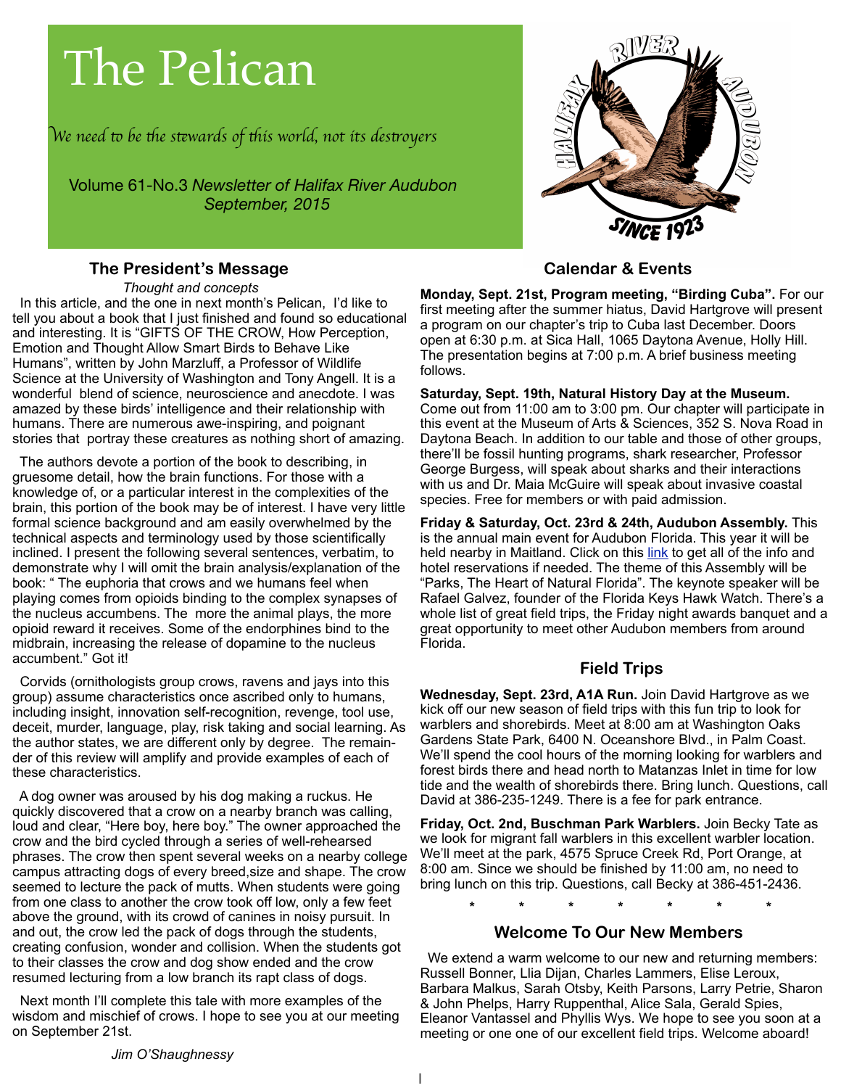# The Pelican

W*e need* " *be* #*e s*\$*wards of* #*is world, not its des*%*oyer*s

Volume 61-No.3 *Newsletter of Halifax River Audubon September, 2015*

#### **The President's Message**

! ! *Thought and concepts*

 In this article, and the one in next month's Pelican, I'd like to tell you about a book that I just finished and found so educational and interesting. It is "GIFTS OF THE CROW, How Perception, Emotion and Thought Allow Smart Birds to Behave Like Humans", written by John Marzluff, a Professor of Wildlife Science at the University of Washington and Tony Angell. It is a wonderful blend of science, neuroscience and anecdote. I was amazed by these birds' intelligence and their relationship with humans. There are numerous awe-inspiring, and poignant stories that portray these creatures as nothing short of amazing.

 The authors devote a portion of the book to describing, in gruesome detail, how the brain functions. For those with a knowledge of, or a particular interest in the complexities of the brain, this portion of the book may be of interest. I have very little formal science background and am easily overwhelmed by the technical aspects and terminology used by those scientifically inclined. I present the following several sentences, verbatim, to demonstrate why I will omit the brain analysis/explanation of the book: " The euphoria that crows and we humans feel when playing comes from opioids binding to the complex synapses of the nucleus accumbens. The more the animal plays, the more opioid reward it receives. Some of the endorphines bind to the midbrain, increasing the release of dopamine to the nucleus accumbent." Got it!

 Corvids (ornithologists group crows, ravens and jays into this group) assume characteristics once ascribed only to humans, including insight, innovation self-recognition, revenge, tool use, deceit, murder, language, play, risk taking and social learning. As the author states, we are different only by degree. The remainder of this review will amplify and provide examples of each of these characteristics.

 A dog owner was aroused by his dog making a ruckus. He quickly discovered that a crow on a nearby branch was calling, loud and clear, "Here boy, here boy." The owner approached the crow and the bird cycled through a series of well-rehearsed phrases. The crow then spent several weeks on a nearby college campus attracting dogs of every breed,size and shape. The crow seemed to lecture the pack of mutts. When students were going from one class to another the crow took off low, only a few feet above the ground, with its crowd of canines in noisy pursuit. In and out, the crow led the pack of dogs through the students, creating confusion, wonder and collision. When the students got to their classes the crow and dog show ended and the crow resumed lecturing from a low branch its rapt class of dogs.

 Next month I'll complete this tale with more examples of the wisdom and mischief of crows. I hope to see you at our meeting on September 21st.



## **Calendar & Events**

**Monday, Sept. 21st, Program meeting, "Birding Cuba".** For our first meeting after the summer hiatus, David Hartgrove will present a program on our chapter's trip to Cuba last December. Doors open at 6:30 p.m. at Sica Hall, 1065 Daytona Avenue, Holly Hill. The presentation begins at 7:00 p.m. A brief business meeting follows.

**Saturday, Sept. 19th, Natural History Day at the Museum.**  Come out from 11:00 am to 3:00 pm. Our chapter will participate in this event at the Museum of Arts & Sciences, 352 S. Nova Road in Daytona Beach. In addition to our table and those of other groups, there'll be fossil hunting programs, shark researcher, Professor George Burgess, will speak about sharks and their interactions with us and Dr. Maia McGuire will speak about invasive coastal species. Free for members or with paid admission.

**Friday & Saturday, Oct. 23rd & 24th, Audubon Assembly.** This is the annual main event for Audubon Florida. This year it will be held nearby in Maitland. Click on this [link](http://fl.audubon.org/audubon-assembly-2015-parks-heart-natural-florida) to get all of the info and hotel reservations if needed. The theme of this Assembly will be "Parks, The Heart of Natural Florida". The keynote speaker will be Rafael Galvez, founder of the Florida Keys Hawk Watch. There's a whole list of great field trips, the Friday night awards banquet and a great opportunity to meet other Audubon members from around Florida.

### **Field Trips**

**Wednesday, Sept. 23rd, A1A Run.** Join David Hartgrove as we kick off our new season of field trips with this fun trip to look for warblers and shorebirds. Meet at 8:00 am at Washington Oaks Gardens State Park, 6400 N. Oceanshore Blvd., in Palm Coast. We'll spend the cool hours of the morning looking for warblers and forest birds there and head north to Matanzas Inlet in time for low tide and the wealth of shorebirds there. Bring lunch. Questions, call David at 386-235-1249. There is a fee for park entrance.

**Friday, Oct. 2nd, Buschman Park Warblers.** Join Becky Tate as we look for migrant fall warblers in this excellent warbler location. We'll meet at the park, 4575 Spruce Creek Rd, Port Orange, at 8:00 am. Since we should be finished by 11:00 am, no need to bring lunch on this trip. Questions, call Becky at 386-451-2436.

 **\* \* \* \* \* \* \***

#### **Welcome To Our New Members**

 We extend a warm welcome to our new and returning members: Russell Bonner, Llia Dijan, Charles Lammers, Elise Leroux, Barbara Malkus, Sarah Otsby, Keith Parsons, Larry Petrie, Sharon & John Phelps, Harry Ruppenthal, Alice Sala, Gerald Spies, Eleanor Vantassel and Phyllis Wys. We hope to see you soon at a meeting or one one of our excellent field trips. Welcome aboard!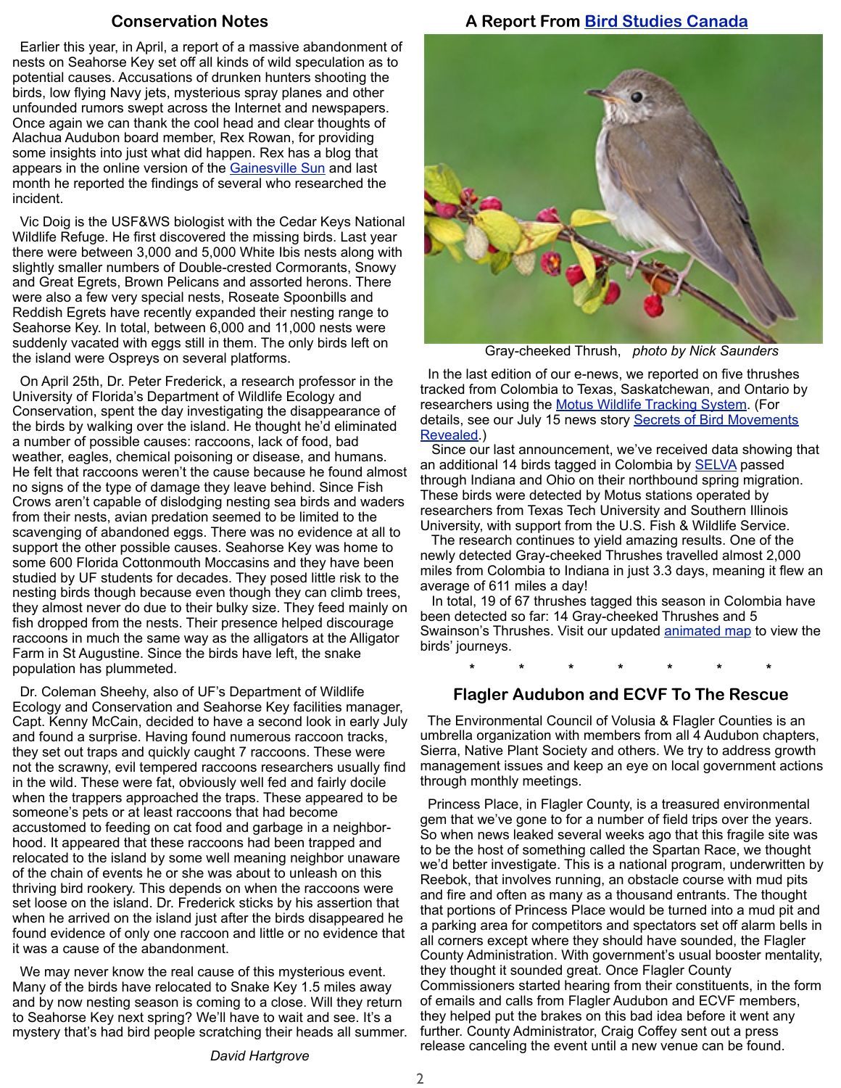#### **Conservation Notes**

 Earlier this year, in April, a report of a massive abandonment of nests on Seahorse Key set off all kinds of wild speculation as to potential causes. Accusations of drunken hunters shooting the birds, low flying Navy jets, mysterious spray planes and other unfounded rumors swept across the Internet and newspapers. Once again we can thank the cool head and clear thoughts of Alachua Audubon board member, Rex Rowan, for providing some insights into just what did happen. Rex has a blog that appears in the online version of the [Gainesville Sun](http://fieldguide.blogs.gainesville.com/) and last month he reported the findings of several who researched the incident.

 Vic Doig is the USF&WS biologist with the Cedar Keys National Wildlife Refuge. He first discovered the missing birds. Last year there were between 3,000 and 5,000 White Ibis nests along with slightly smaller numbers of Double-crested Cormorants, Snowy and Great Egrets, Brown Pelicans and assorted herons. There were also a few very special nests, Roseate Spoonbills and Reddish Egrets have recently expanded their nesting range to Seahorse Key. In total, between 6,000 and 11,000 nests were suddenly vacated with eggs still in them. The only birds left on the island were Ospreys on several platforms.

 On April 25th, Dr. Peter Frederick, a research professor in the University of Florida's Department of Wildlife Ecology and Conservation, spent the day investigating the disappearance of the birds by walking over the island. He thought he'd eliminated a number of possible causes: raccoons, lack of food, bad weather, eagles, chemical poisoning or disease, and humans. He felt that raccoons weren't the cause because he found almost no signs of the type of damage they leave behind. Since Fish Crows aren't capable of dislodging nesting sea birds and waders from their nests, avian predation seemed to be limited to the scavenging of abandoned eggs. There was no evidence at all to support the other possible causes. Seahorse Key was home to some 600 Florida Cottonmouth Moccasins and they have been studied by UF students for decades. They posed little risk to the nesting birds though because even though they can climb trees, they almost never do due to their bulky size. They feed mainly on fish dropped from the nests. Their presence helped discourage raccoons in much the same way as the alligators at the Alligator Farm in St Augustine. Since the birds have left, the snake population has plummeted.

 Dr. Coleman Sheehy, also of UF's Department of Wildlife Ecology and Conservation and Seahorse Key facilities manager, Capt. Kenny McCain, decided to have a second look in early July and found a surprise. Having found numerous raccoon tracks, they set out traps and quickly caught 7 raccoons. These were not the scrawny, evil tempered raccoons researchers usually find in the wild. These were fat, obviously well fed and fairly docile when the trappers approached the traps. These appeared to be someone's pets or at least raccoons that had become accustomed to feeding on cat food and garbage in a neighborhood. It appeared that these raccoons had been trapped and relocated to the island by some well meaning neighbor unaware of the chain of events he or she was about to unleash on this thriving bird rookery. This depends on when the raccoons were set loose on the island. Dr. Frederick sticks by his assertion that when he arrived on the island just after the birds disappeared he found evidence of only one raccoon and little or no evidence that it was a cause of the abandonment.

 We may never know the real cause of this mysterious event. Many of the birds have relocated to Snake Key 1.5 miles away and by now nesting season is coming to a close. Will they return to Seahorse Key next spring? We'll have to wait and see. It's a mystery that's had bird people scratching their heads all summer.

#### **A Report From [Bird Studies Canada](http://www.birdscanada.org/)**



Gray-cheeked Thrush, *photo by Nick Saunders*

 In the last edition of our e-news, we reported on five thrushes tracked from Colombia to Texas, Saskatchewan, and Ontario by researchers using the [Motus Wildlife Tracking System.](http://www.birdscanada.org/research/motus/) (For details, see our July 15 news story **Secrets of Bird Movements** [Revealed.](http://www.birdscanada.org/news/secrets-of-bird-movements-revealed))

 Since our last announcement, we've received data showing that an additional 14 birds tagged in Colombia by **SELVA** passed through Indiana and Ohio on their northbound spring migration. These birds were detected by Motus stations operated by researchers from Texas Tech University and Southern Illinois University, with support from the U.S. Fish & Wildlife Service.

 The research continues to yield amazing results. One of the newly detected Gray-cheeked Thrushes travelled almost 2,000 miles from Colombia to Indiana in just 3.3 days, meaning it flew an average of 611 miles a day!

 In total, 19 of 67 thrushes tagged this season in Colombia have been detected so far: 14 Gray-cheeked Thrushes and 5 Swainson's Thrushes. Visit our updated [animated map](http://motus-wts.org/data/demo/thrushDetections2015-update.html) to view the birds' journeys.

**\* \* \* \* \* \* \***

#### **Flagler Audubon and ECVF To The Rescue**

 The Environmental Council of Volusia & Flagler Counties is an umbrella organization with members from all 4 Audubon chapters, Sierra, Native Plant Society and others. We try to address growth management issues and keep an eye on local government actions through monthly meetings.

 Princess Place, in Flagler County, is a treasured environmental gem that we've gone to for a number of field trips over the years. So when news leaked several weeks ago that this fragile site was to be the host of something called the Spartan Race, we thought we'd better investigate. This is a national program, underwritten by Reebok, that involves running, an obstacle course with mud pits and fire and often as many as a thousand entrants. The thought that portions of Princess Place would be turned into a mud pit and a parking area for competitors and spectators set off alarm bells in all corners except where they should have sounded, the Flagler County Administration. With government's usual booster mentality, they thought it sounded great. Once Flagler County Commissioners started hearing from their constituents, in the form of emails and calls from Flagler Audubon and ECVF members, they helped put the brakes on this bad idea before it went any further. County Administrator, Craig Coffey sent out a press release canceling the event until a new venue can be found.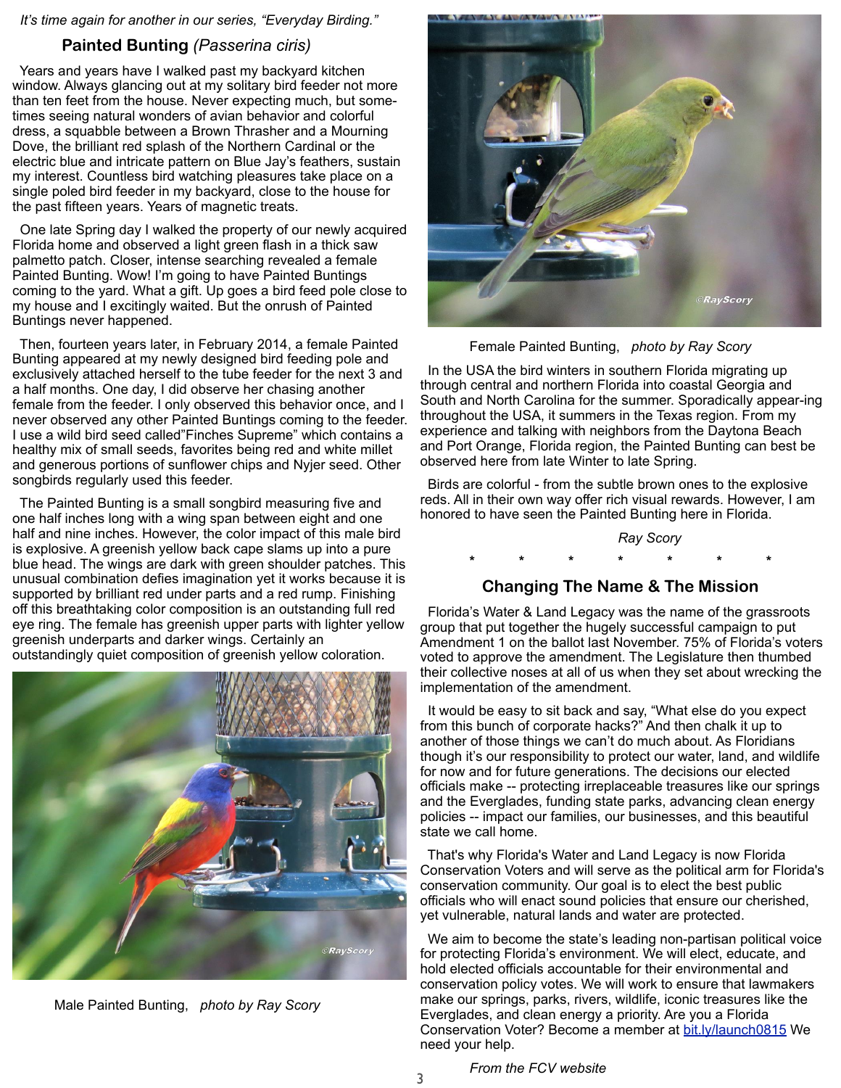*It's time again for another in our series, "Everyday Birding."*

#### **Painted Bunting** *(Passerina ciris)*

 Years and years have I walked past my backyard kitchen window. Always glancing out at my solitary bird feeder not more than ten feet from the house. Never expecting much, but sometimes seeing natural wonders of avian behavior and colorful dress, a squabble between a Brown Thrasher and a Mourning Dove, the brilliant red splash of the Northern Cardinal or the electric blue and intricate pattern on Blue Jay's feathers, sustain my interest. Countless bird watching pleasures take place on a single poled bird feeder in my backyard, close to the house for the past fifteen years. Years of magnetic treats.

 One late Spring day I walked the property of our newly acquired Florida home and observed a light green flash in a thick saw palmetto patch. Closer, intense searching revealed a female Painted Bunting. Wow! I'm going to have Painted Buntings coming to the yard. What a gift. Up goes a bird feed pole close to my house and I excitingly waited. But the onrush of Painted Buntings never happened.

 Then, fourteen years later, in February 2014, a female Painted Bunting appeared at my newly designed bird feeding pole and exclusively attached herself to the tube feeder for the next 3 and a half months. One day, I did observe her chasing another female from the feeder. I only observed this behavior once, and I never observed any other Painted Buntings coming to the feeder. I use a wild bird seed called"Finches Supreme" which contains a healthy mix of small seeds, favorites being red and white millet and generous portions of sunflower chips and Nyjer seed. Other songbirds regularly used this feeder.

 The Painted Bunting is a small songbird measuring five and one half inches long with a wing span between eight and one half and nine inches. However, the color impact of this male bird is explosive. A greenish yellow back cape slams up into a pure blue head. The wings are dark with green shoulder patches. This unusual combination defies imagination yet it works because it is supported by brilliant red under parts and a red rump. Finishing off this breathtaking color composition is an outstanding full red eye ring. The female has greenish upper parts with lighter yellow greenish underparts and darker wings. Certainly an outstandingly quiet composition of greenish yellow coloration.



Male Painted Bunting, *photo by Ray Scory*



Female Painted Bunting, *photo by Ray Scory*

 In the USA the bird winters in southern Florida migrating up through central and northern Florida into coastal Georgia and South and North Carolina for the summer. Sporadically appear-ing throughout the USA, it summers in the Texas region. From my experience and talking with neighbors from the Daytona Beach and Port Orange, Florida region, the Painted Bunting can best be observed here from late Winter to late Spring.

 Birds are colorful - from the subtle brown ones to the explosive reds. All in their own way offer rich visual rewards. However, I am honored to have seen the Painted Bunting here in Florida.

*Ray Scory*

## **\* \* \* \* \* \* \***

#### **Changing The Name & The Mission**

 Florida's Water & Land Legacy was the name of the grassroots group that put together the hugely successful campaign to put Amendment 1 on the ballot last November. 75% of Florida's voters voted to approve the amendment. The Legislature then thumbed their collective noses at all of us when they set about wrecking the implementation of the amendment.

 It would be easy to sit back and say, "What else do you expect from this bunch of corporate hacks?" And then chalk it up to another of those things we can't do much about. As Floridians though it's our responsibility to protect our water, land, and wildlife for now and for future generations. The decisions our elected officials make -- protecting irreplaceable treasures like our springs and the Everglades, funding state parks, advancing clean energy policies -- impact our families, our businesses, and this beautiful state we call home.

 That's why Florida's Water and Land Legacy is now Florida Conservation Voters and will serve as the political arm for Florida's conservation community. Our goal is to elect the best public officials who will enact sound policies that ensure our cherished, yet vulnerable, natural lands and water are protected.

 We aim to become the state's leading non-partisan political voice for protecting Florida's environment. We will elect, educate, and hold elected officials accountable for their environmental and conservation policy votes. We will work to ensure that lawmakers make our springs, parks, rivers, wildlife, iconic treasures like the Everglades, and clean energy a priority. Are you a Florida Conservation Voter? Become a member at [bit.ly/launch0815](http://bit.ly/launch0815) We need your help.

*From the FCV website*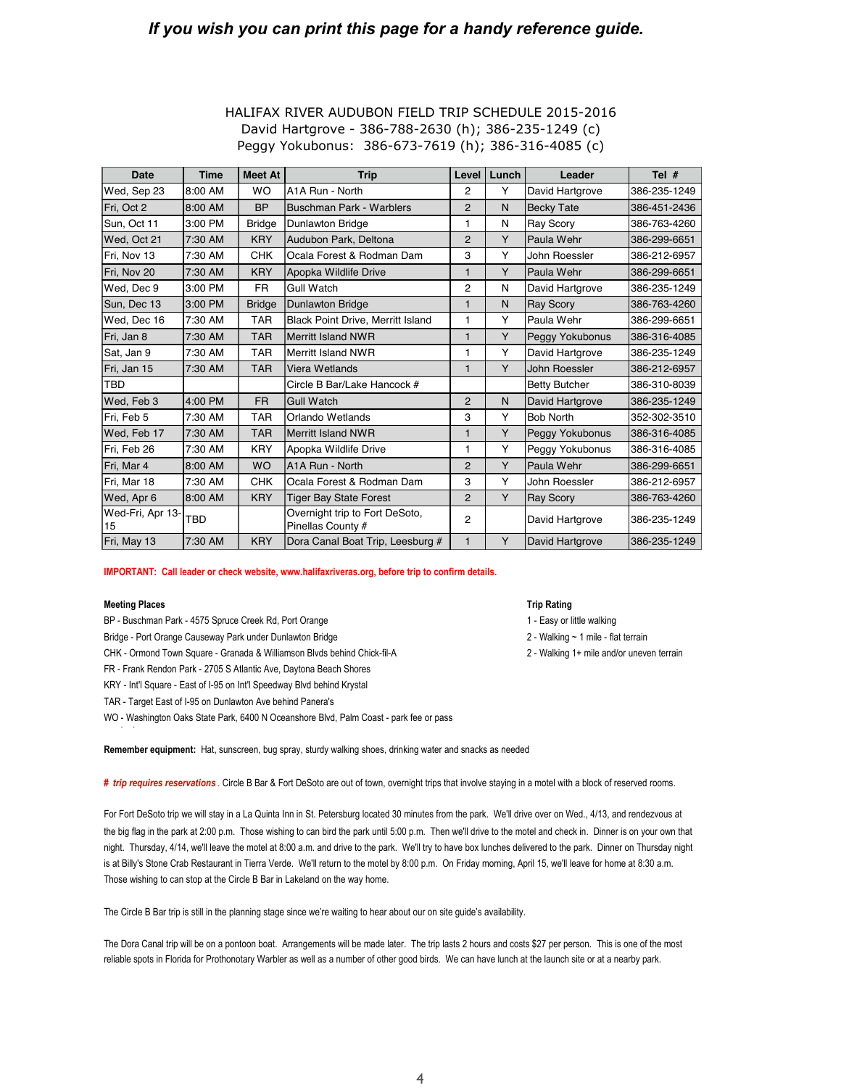## *If you wish you can print this page for a handy reference guide.*

| <b>Date</b>            | <b>Time</b> | <b>Meet At</b> | <b>Trip</b>                                         | Level          | Lunch | Leader               | Tel $#$      |
|------------------------|-------------|----------------|-----------------------------------------------------|----------------|-------|----------------------|--------------|
| Wed, Sep 23            | 8:00 AM     | <b>WO</b>      | A1A Run - North                                     | 2              | Y     | David Hartgrove      | 386-235-1249 |
| Fri, Oct 2             | 8:00 AM     | <b>BP</b>      | Buschman Park - Warblers                            | $\overline{2}$ | N     | <b>Becky Tate</b>    | 386-451-2436 |
| Sun, Oct 11            | 3:00 PM     | <b>Bridge</b>  | <b>Dunlawton Bridge</b>                             | 1              | N     | <b>Ray Scory</b>     | 386-763-4260 |
| Wed, Oct 21            | 7:30 AM     | <b>KRY</b>     | Audubon Park, Deltona                               | $\overline{2}$ | Y     | Paula Wehr           | 386-299-6651 |
| Fri, Nov 13            | 7:30 AM     | <b>CHK</b>     | Ocala Forest & Rodman Dam                           | 3              | Y     | John Roessler        | 386-212-6957 |
| Fri, Nov 20            | 7:30 AM     | <b>KRY</b>     | Apopka Wildlife Drive                               | 1              | Y     | Paula Wehr           | 386-299-6651 |
| Wed, Dec 9             | 3:00 PM     | <b>FR</b>      | <b>Gull Watch</b>                                   | 2              | N     | David Hartgrove      | 386-235-1249 |
| Sun, Dec 13            | 3:00 PM     | <b>Bridge</b>  | <b>Dunlawton Bridge</b>                             | $\mathbf 1$    | N     | <b>Ray Scory</b>     | 386-763-4260 |
| Wed, Dec 16            | 7:30 AM     | <b>TAR</b>     | <b>Black Point Drive, Merritt Island</b>            | 1              | Y     | Paula Wehr           | 386-299-6651 |
| Fri, Jan 8             | 7:30 AM     | <b>TAR</b>     | Merritt Island NWR                                  | 1              | Y     | Peggy Yokubonus      | 386-316-4085 |
| Sat, Jan 9             | 7:30 AM     | TAR            | Merritt Island NWR                                  | 1              | Y     | David Hartgrove      | 386-235-1249 |
| Fri, Jan 15            | 7:30 AM     | <b>TAR</b>     | Viera Wetlands                                      | 1              | Y     | <b>John Roessler</b> | 386-212-6957 |
| <b>TBD</b>             |             |                | Circle B Bar/Lake Hancock #                         |                |       | <b>Betty Butcher</b> | 386-310-8039 |
| Wed, Feb 3             | 4:00 PM     | <b>FR</b>      | <b>Gull Watch</b>                                   | $\overline{2}$ | N     | David Hartgrove      | 386-235-1249 |
| Fri, Feb 5             | 7:30 AM     | <b>TAR</b>     | Orlando Wetlands                                    | 3              | Υ     | <b>Bob North</b>     | 352-302-3510 |
| Wed, Feb 17            | 7:30 AM     | <b>TAR</b>     | Merritt Island NWR                                  | 1              | Y     | Peggy Yokubonus      | 386-316-4085 |
| IFri. Feb 26           | 7:30 AM     | <b>KRY</b>     | Apopka Wildlife Drive                               | 1              | Υ     | Peggy Yokubonus      | 386-316-4085 |
| Fri, Mar 4             | 8:00 AM     | <b>WO</b>      | A1A Run - North                                     | $\overline{2}$ | Y     | Paula Wehr           | 386-299-6651 |
| Fri, Mar 18            | 7:30 AM     | <b>CHK</b>     | Ocala Forest & Rodman Dam                           | 3              | Y     | John Roessler        | 386-212-6957 |
| Wed, Apr 6             | 8:00 AM     | <b>KRY</b>     | <b>Tiger Bay State Forest</b>                       | $\overline{2}$ | Y     | <b>Ray Scory</b>     | 386-763-4260 |
| Wed-Fri, Apr 13-<br>15 | TBD         |                | Overnight trip to Fort DeSoto,<br>Pinellas County # | $\overline{2}$ |       | David Hartgrove      | 386-235-1249 |
| Fri, May 13            | 7:30 AM     | <b>KRY</b>     | Dora Canal Boat Trip, Leesburg #                    | $\mathbf{1}$   | Y     | David Hartgrove      | 386-235-1249 |

#### HALIFAX RIVER AUDUBON FIELD TRIP SCHEDULE 2015-2016 David Hartgrove - 386-788-2630 (h); 386-235-1249 (c) Peggy Yokubonus: 386-673-7619 (h); 386-316-4085 (c)

**IMPORTANT: Call leader or check website, www.halifaxriveras.org, before trip to confirm details.**

#### **Meeting Places**

BP - Buschman Park - 4575 Spruce Creek Rd, Port Orange

Bridge - Port Orange Causeway Park under Dunlawton Bridge 2 - Walking ~ 1 mile - flat terrain

CHK - Ormond Town Square - Granada & Williamson Blvds behind Chick-fil-A

FR - Frank Rendon Park - 2705 S Atlantic Ave, Daytona Beach Shores

KRY - Int'l Square - East of I-95 on Int'l Speedway Blvd behind Krystal

TAR - Target East of I-95 on Dunlawton Ave behind Panera's

WO - Washington Oaks State Park, 6400 N Oceanshore Blvd, Palm Coast - park fee or pass

#### Remember equipment: Hat, sunscreen, bug spray, sturdy walking shoes, drinking water and snacks as needed

# trip requires reservations . Circle B Bar & Fort DeSoto are out of town, overnight trips that involve staying in a motel with a block of reserved rooms.

For Fort DeSoto trip we will stay in a La Quinta Inn in St. Petersburg located 30 minutes from the park. We'll drive over on Wed., 4/13, and rendezvous at is at Billy's Stone Crab Restaurant in Tierra Verde. We'll return to the motel by 8:00 p.m. On Friday morning, April 15, we'll leave for home at 8:30 a.m. the big flag in the park at 2:00 p.m. Those wishing to can bird the park until 5:00 p.m. Then we'll drive to the motel and check in. Dinner is on your own that night. Thursday, 4/14, we'll leave the motel at 8:00 a.m. and drive to the park. We'll try to have box lunches delivered to the park. Dinner on Thursday night Those wishing to can stop at the Circle B Bar in Lakeland on the way home.

The Circle B Bar trip is still in the planning stage since we're waiting to hear about our on site guide's availability.

The Dora Canal trip will be on a pontoon boat. Arrangements will be made later. The trip lasts 2 hours and costs \$27 per person. This is one of the most reliable spots in Florida for Prothonotary Warbler as well as a number of other good birds. We can have lunch at the launch site or at a nearby park.

#### **Trip Rating**

1 - Easy or little walking

 $2$  - Walking 1+ mile and/or uneven terrain